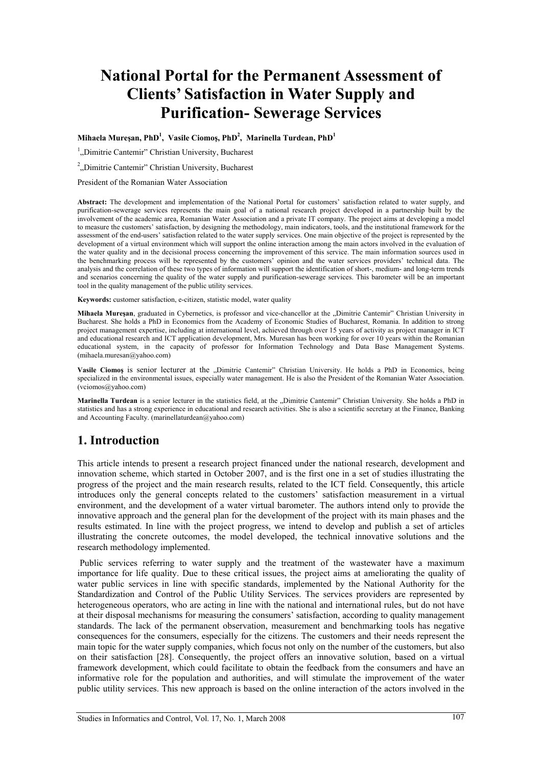# **National Portal for the Permanent Assessment of Clients' Satisfaction in Water Supply and Purification- Sewerage Services**

**Mihaela Mureşan, PhD1 , Vasile Ciomoş, PhD2 , Marinella Turdean, PhD1**

<sup>1</sup>, Dimitrie Cantemir" Christian University, Bucharest

<sup>2</sup>, Dimitrie Cantemir" Christian University, Bucharest

President of the Romanian Water Association

**Abstract:** The development and implementation of the National Portal for customers' satisfaction related to water supply, and purification-sewerage services represents the main goal of a national research project developed in a partnership built by the involvement of the academic area, Romanian Water Association and a private IT company. The project aims at developing a model to measure the customers' satisfaction, by designing the methodology, main indicators, tools, and the institutional framework for the assessment of the end-users' satisfaction related to the water supply services. One main objective of the project is represented by the development of a virtual environment which will support the online interaction among the main actors involved in the evaluation of the water quality and in the decisional process concerning the improvement of this service. The main information sources used in the benchmarking process will be represented by the customers' opinion and the water services providers' technical data. The analysis and the correlation of these two types of information will support the identification of short-, medium- and long-term trends and scenarios concerning the quality of the water supply and purification-sewerage services. This barometer will be an important tool in the quality management of the public utility services.

**Keywords:** customer satisfaction, e-citizen, statistic model, water quality

Mihaela Mureșan, graduated in Cybernetics, is professor and vice-chancellor at the "Dimitrie Cantemir" Christian University in Bucharest. She holds a PhD in Economics from the Academy of Economic Studies of Bucharest, Romania. In addition to strong project management expertise, including at international level, achieved through over 15 years of activity as project manager in ICT and educational research and ICT application development, Mrs. Muresan has been working for over 10 years within the Romanian educational system, in the capacity of professor for Information Technology and Data Base Management Systems. (mihaela.muresan@yahoo.com)

Vasile Ciomos is senior lecturer at the "Dimitrie Cantemir" Christian University. He holds a PhD in Economics, being specialized in the environmental issues, especially water management. He is also the President of the Romanian Water Association. (vciomos@yahoo.com)

Marinella Turdean is a senior lecturer in the statistics field, at the "Dimitrie Cantemir" Christian University. She holds a PhD in statistics and has a strong experience in educational and research activities. She is also a scientific secretary at the Finance, Banking and Accounting Faculty. (marinellaturdean@yahoo.com)

# **1. Introduction**

This article intends to present a research project financed under the national research, development and innovation scheme, which started in October 2007, and is the first one in a set of studies illustrating the progress of the project and the main research results, related to the ICT field. Consequently, this article introduces only the general concepts related to the customers' satisfaction measurement in a virtual environment, and the development of a water virtual barometer. The authors intend only to provide the innovative approach and the general plan for the development of the project with its main phases and the results estimated. In line with the project progress, we intend to develop and publish a set of articles illustrating the concrete outcomes, the model developed, the technical innovative solutions and the research methodology implemented.

 Public services referring to water supply and the treatment of the wastewater have a maximum importance for life quality. Due to these critical issues, the project aims at ameliorating the quality of water public services in line with specific standards, implemented by the National Authority for the Standardization and Control of the Public Utility Services. The services providers are represented by heterogeneous operators, who are acting in line with the national and international rules, but do not have at their disposal mechanisms for measuring the consumers' satisfaction, according to quality management standards. The lack of the permanent observation, measurement and benchmarking tools has negative consequences for the consumers, especially for the citizens. The customers and their needs represent the main topic for the water supply companies, which focus not only on the number of the customers, but also on their satisfaction [28]. Consequently, the project offers an innovative solution, based on a virtual framework development, which could facilitate to obtain the feedback from the consumers and have an informative role for the population and authorities, and will stimulate the improvement of the water public utility services. This new approach is based on the online interaction of the actors involved in the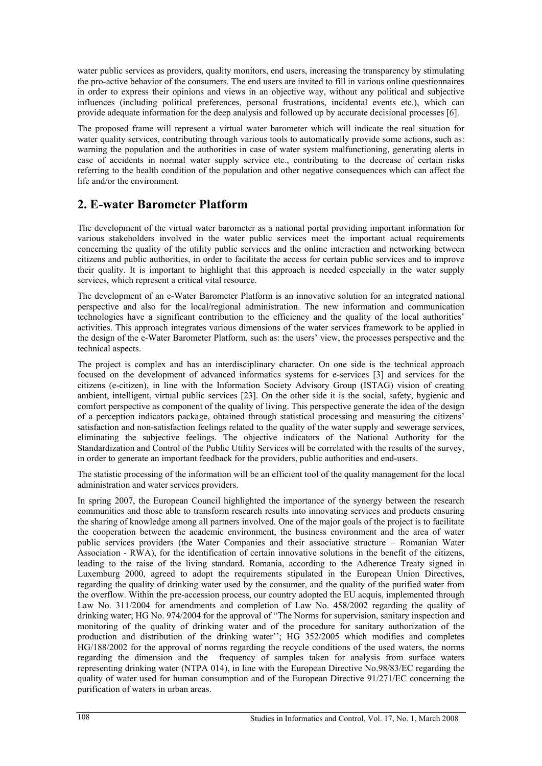water public services as providers, quality monitors, end users, increasing the transparency by stimulating the pro-active behavior of the consumers. The end users are invited to fill in various online questionnaires in order to express their opinions and views in an objective way, without any political and subjective influences (including political preferences, personal frustrations, incidental events etc.), which can provide adequate information for the deep analysis and followed up by accurate decisional processes [6].

The proposed frame will represent a virtual water barometer which will indicate the real situation for water quality services, contributing through various tools to automatically provide some actions, such as: warning the population and the authorities in case of water system malfunctioning, generating alerts in case of accidents in normal water supply service etc., contributing to the decrease of certain risks referring to the health condition of the population and other negative consequences which can affect the life and/or the environment.

#### **2. E-water Barometer Platform**

The development of the virtual water barometer as a national portal providing important information for various stakeholders involved in the water public services meet the important actual requirements concerning the quality of the utility public services and the online interaction and networking between citizens and public authorities, in order to facilitate the access for certain public services and to improve their quality. It is important to highlight that this approach is needed especially in the water supply services, which represent a critical vital resource.

The development of an e-Water Barometer Platform is an innovative solution for an integrated national perspective and also for the local/regional administration. The new information and communication technologies have a significant contribution to the efficiency and the quality of the local authorities' activities. This approach integrates various dimensions of the water services framework to be applied in the design of the e-Water Barometer Platform, such as: the users' view, the processes perspective and the technical aspects.

The project is complex and has an interdisciplinary character. On one side is the technical approach focused on the development of advanced informatics systems for e-services [3] and services for the citizens (e-citizen), in line with the Information Society Advisory Group (ISTAG) vision of creating ambient, intelligent, virtual public services [23]. On the other side it is the social, safety, hygienic and comfort perspective as component of the quality of living. This perspective generate the idea of the design of a perception indicators package, obtained through statistical processing and measuring the citizens' satisfaction and non-satisfaction feelings related to the quality of the water supply and sewerage services, eliminating the subjective feelings. The objective indicators of the National Authority for the Standardization and Control of the Public Utility Services will be correlated with the results of the survey, in order to generate an important feedback for the providers, public authorities and end-users.

The statistic processing of the information will be an efficient tool of the quality management for the local administration and water services providers.

In spring 2007, the European Council highlighted the importance of the synergy between the research communities and those able to transform research results into innovating services and products ensuring the sharing of knowledge among all partners involved. One of the major goals of the project is to facilitate the cooperation between the academic environment, the business environment and the area of water public services providers (the Water Companies and their associative structure – Romanian Water Association - RWA), for the identification of certain innovative solutions in the benefit of the citizens, leading to the raise of the living standard. Romania, according to the Adherence Treaty signed in Luxemburg 2000, agreed to adopt the requirements stipulated in the European Union Directives, regarding the quality of drinking water used by the consumer, and the quality of the purified water from the overflow. Within the pre-accession process, our country adopted the EU acquis, implemented through Law No. 311/2004 for amendments and completion of Law No. 458/2002 regarding the quality of drinking water; HG No. 974/2004 for the approval of "The Norms for supervision, sanitary inspection and monitoring of the quality of drinking water and of the procedure for sanitary authorization of the production and distribution of the drinking water''; HG 352/2005 which modifies and completes HG/188/2002 for the approval of norms regarding the recycle conditions of the used waters, the norms regarding the dimension and the frequency of samples taken for analysis from surface waters representing drinking water (NTPA 014), in line with the European Directive No.98/83/EC regarding the quality of water used for human consumption and of the European Directive 91/271/EC concerning the purification of waters in urban areas.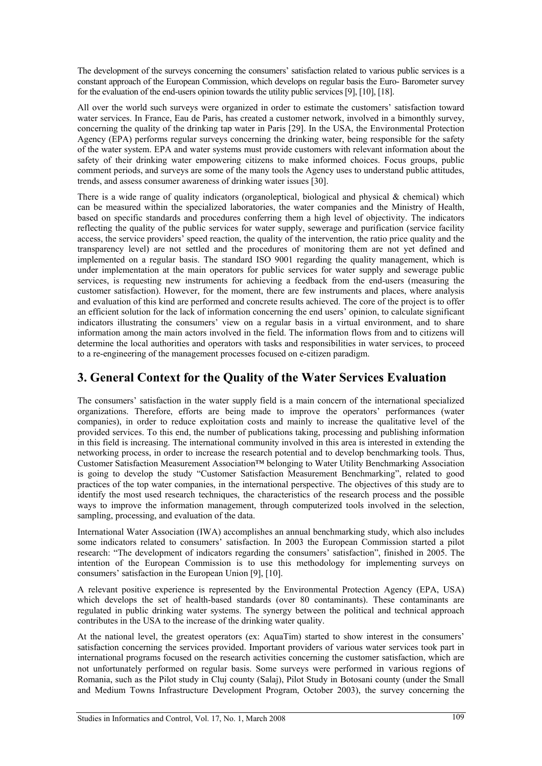The development of the surveys concerning the consumers' satisfaction related to various public services is a constant approach of the European Commission, which develops on regular basis the Euro- Barometer survey for the evaluation of the end-users opinion towards the utility public services [9], [10], [18].

All over the world such surveys were organized in order to estimate the customers' satisfaction toward water services. In France, Eau de Paris, has created a customer network, involved in a bimonthly survey, concerning the quality of the drinking tap water in Paris [29]. In the USA, the Environmental Protection Agency (EPA) performs regular surveys concerning the drinking water, being responsible for the safety of the water system. EPA and water systems must provide customers with relevant information about the safety of their drinking water empowering citizens to make informed choices. Focus groups, public comment periods, and surveys are some of the many tools the Agency uses to understand public attitudes, trends, and assess consumer awareness of drinking water issues [30].

There is a wide range of quality indicators (organoleptical, biological and physical  $\&$  chemical) which can be measured within the specialized laboratories, the water companies and the Ministry of Health based on specific standards and procedures conferring them a high level of objectivity. The indicators reflecting the quality of the public services for water supply, sewerage and purification (service facility access, the service providers' speed reaction, the quality of the intervention, the ratio price quality and the transparency level) are not settled and the procedures of monitoring them are not yet defined and implemented on a regular basis. The standard ISO 9001 regarding the quality management, which is under implementation at the main operators for public services for water supply and sewerage public services, is requesting new instruments for achieving a feedback from the end-users (measuring the customer satisfaction). However, for the moment, there are few instruments and places, where analysis and evaluation of this kind are performed and concrete results achieved. The core of the project is to offer an efficient solution for the lack of information concerning the end users' opinion, to calculate significant indicators illustrating the consumers' view on a regular basis in a virtual environment, and to share information among the main actors involved in the field. The information flows from and to citizens will determine the local authorities and operators with tasks and responsibilities in water services, to proceed to a re-engineering of the management processes focused on e-citizen paradigm.

### **3. General Context for the Quality of the Water Services Evaluation**

The consumers' satisfaction in the water supply field is a main concern of the international specialized organizations. Therefore, efforts are being made to improve the operators' performances (water companies), in order to reduce exploitation costs and mainly to increase the qualitative level of the provided services. To this end, the number of publications taking, processing and publishing information in this field is increasing. The international community involved in this area is interested in extending the networking process, in order to increase the research potential and to develop benchmarking tools. Thus, Customer Satisfaction Measurement Association™ belonging to Water Utility Benchmarking Association is going to develop the study "Customer Satisfaction Measurement Benchmarking", related to good practices of the top water companies, in the international perspective. The objectives of this study are to identify the most used research techniques, the characteristics of the research process and the possible ways to improve the information management, through computerized tools involved in the selection, sampling, processing, and evaluation of the data.

International Water Association (IWA) accomplishes an annual benchmarking study, which also includes some indicators related to consumers' satisfaction. In 2003 the European Commission started a pilot research: "The development of indicators regarding the consumers' satisfaction", finished in 2005. The intention of the European Commission is to use this methodology for implementing surveys on consumers' satisfaction in the European Union [9], [10].

A relevant positive experience is represented by the Environmental Protection Agency (EPA, USA) which develops the set of health-based standards (over 80 contaminants). These contaminants are regulated in public drinking water systems. The synergy between the political and technical approach contributes in the USA to the increase of the drinking water quality.

At the national level, the greatest operators (ex: AquaTim) started to show interest in the consumers' satisfaction concerning the services provided. Important providers of various water services took part in international programs focused on the research activities concerning the customer satisfaction, which are not unfortunately performed on regular basis. Some surveys were performed in various regions of Romania, such as the Pilot study in Cluj county (Salaj), Pilot Study in Botosani county (under the Small and Medium Towns Infrastructure Development Program, October 2003), the survey concerning the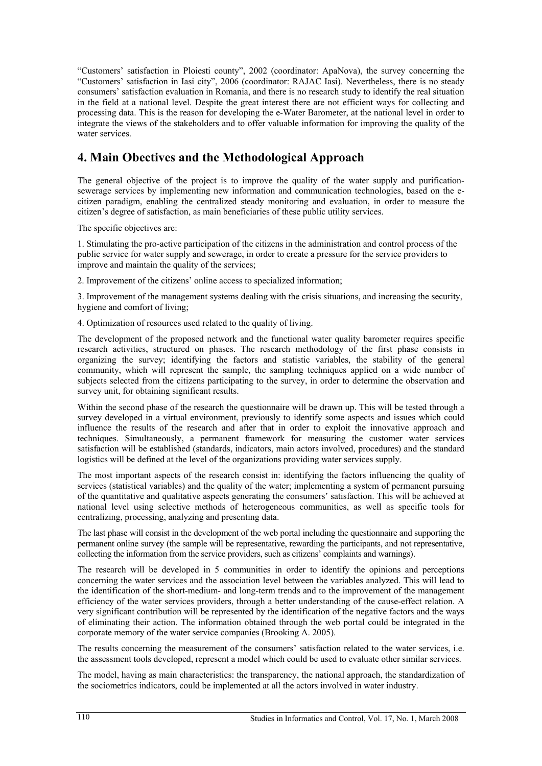"Customers' satisfaction in Ploiesti county", 2002 (coordinator: ApaNova), the survey concerning the "Customers' satisfaction in Iasi city", 2006 (coordinator: RAJAC Iasi). Nevertheless, there is no steady consumers' satisfaction evaluation in Romania, and there is no research study to identify the real situation in the field at a national level. Despite the great interest there are not efficient ways for collecting and processing data. This is the reason for developing the e-Water Barometer, at the national level in order to integrate the views of the stakeholders and to offer valuable information for improving the quality of the water services.

# **4. Main Obectives and the Methodological Approach**

The general objective of the project is to improve the quality of the water supply and purificationsewerage services by implementing new information and communication technologies, based on the ecitizen paradigm, enabling the centralized steady monitoring and evaluation, in order to measure the citizen's degree of satisfaction, as main beneficiaries of these public utility services.

The specific objectives are:

1. Stimulating the pro-active participation of the citizens in the administration and control process of the public service for water supply and sewerage, in order to create a pressure for the service providers to improve and maintain the quality of the services:

2. Improvement of the citizens' online access to specialized information;

3. Improvement of the management systems dealing with the crisis situations, and increasing the security, hygiene and comfort of living;

4. Optimization of resources used related to the quality of living.

The development of the proposed network and the functional water quality barometer requires specific research activities, structured on phases. The research methodology of the first phase consists in organizing the survey; identifying the factors and statistic variables, the stability of the general community, which will represent the sample, the sampling techniques applied on a wide number of subjects selected from the citizens participating to the survey, in order to determine the observation and survey unit, for obtaining significant results.

Within the second phase of the research the questionnaire will be drawn up. This will be tested through a survey developed in a virtual environment, previously to identify some aspects and issues which could influence the results of the research and after that in order to exploit the innovative approach and techniques. Simultaneously, a permanent framework for measuring the customer water services satisfaction will be established (standards, indicators, main actors involved, procedures) and the standard logistics will be defined at the level of the organizations providing water services supply.

The most important aspects of the research consist in: identifying the factors influencing the quality of services (statistical variables) and the quality of the water; implementing a system of permanent pursuing of the quantitative and qualitative aspects generating the consumers' satisfaction. This will be achieved at national level using selective methods of heterogeneous communities, as well as specific tools for centralizing, processing, analyzing and presenting data.

The last phase will consist in the development of the web portal including the questionnaire and supporting the permanent online survey (the sample will be representative, rewarding the participants, and not representative, collecting the information from the service providers, such as citizens' complaints and warnings).

The research will be developed in 5 communities in order to identify the opinions and perceptions concerning the water services and the association level between the variables analyzed. This will lead to the identification of the short-medium- and long-term trends and to the improvement of the management efficiency of the water services providers, through a better understanding of the cause-effect relation. A very significant contribution will be represented by the identification of the negative factors and the ways of eliminating their action. The information obtained through the web portal could be integrated in the corporate memory of the water service companies (Brooking A. 2005).

The results concerning the measurement of the consumers' satisfaction related to the water services, i.e. the assessment tools developed, represent a model which could be used to evaluate other similar services.

The model, having as main characteristics: the transparency, the national approach, the standardization of the sociometrics indicators, could be implemented at all the actors involved in water industry.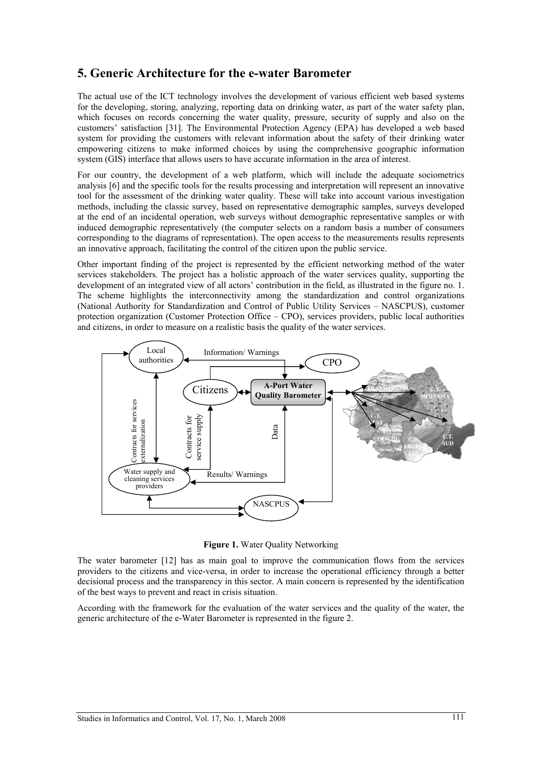#### **5. Generic Architecture for the e-water Barometer**

The actual use of the ICT technology involves the development of various efficient web based systems for the developing, storing, analyzing, reporting data on drinking water, as part of the water safety plan, which focuses on records concerning the water quality, pressure, security of supply and also on the customers' satisfaction [31]. The Environmental Protection Agency (EPA) has developed a web based system for providing the customers with relevant information about the safety of their drinking water empowering citizens to make informed choices by using the comprehensive geographic information system (GIS) interface that allows users to have accurate information in the area of interest.

For our country, the development of a web platform, which will include the adequate sociometrics analysis [6] and the specific tools for the results processing and interpretation will represent an innovative tool for the assessment of the drinking water quality. These will take into account various investigation methods, including the classic survey, based on representative demographic samples, surveys developed at the end of an incidental operation, web surveys without demographic representative samples or with induced demographic representatively (the computer selects on a random basis a number of consumers corresponding to the diagrams of representation). The open access to the measurements results represents an innovative approach, facilitating the control of the citizen upon the public service.

Other important finding of the project is represented by the efficient networking method of the water services stakeholders. The project has a holistic approach of the water services quality, supporting the development of an integrated view of all actors' contribution in the field, as illustrated in the figure no. 1. The scheme highlights the interconnectivity among the standardization and control organizations (National Authority for Standardization and Control of Public Utility Services – NASCPUS), customer protection organization (Customer Protection Office – CPO), services providers, public local authorities and citizens, in order to measure on a realistic basis the quality of the water services.



**Figure 1.** Water Quality Networking

The water barometer [12] has as main goal to improve the communication flows from the services providers to the citizens and vice-versa, in order to increase the operational efficiency through a better decisional process and the transparency in this sector. A main concern is represented by the identification of the best ways to prevent and react in crisis situation.

According with the framework for the evaluation of the water services and the quality of the water, the generic architecture of the e-Water Barometer is represented in the figure 2.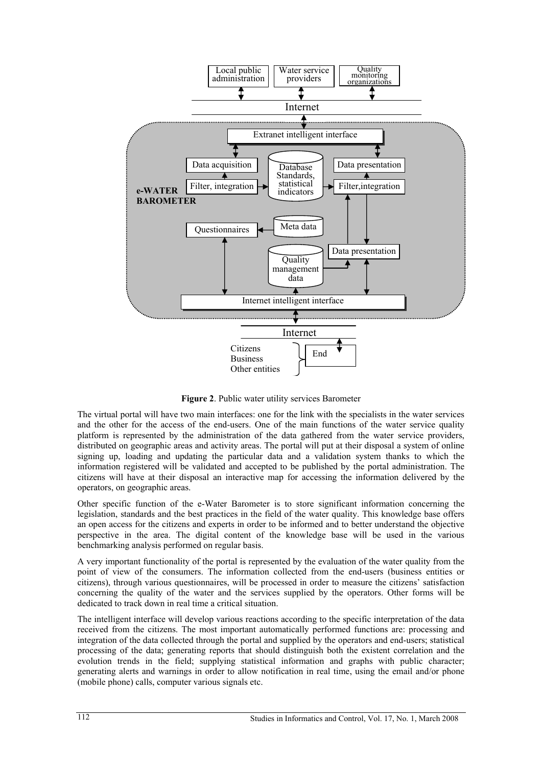

**Figure 2**. Public water utility services Barometer

The virtual portal will have two main interfaces: one for the link with the specialists in the water services and the other for the access of the end-users. One of the main functions of the water service quality platform is represented by the administration of the data gathered from the water service providers, distributed on geographic areas and activity areas. The portal will put at their disposal a system of online signing up, loading and updating the particular data and a validation system thanks to which the information registered will be validated and accepted to be published by the portal administration. The citizens will have at their disposal an interactive map for accessing the information delivered by the operators, on geographic areas.

Other specific function of the e-Water Barometer is to store significant information concerning the legislation, standards and the best practices in the field of the water quality. This knowledge base offers an open access for the citizens and experts in order to be informed and to better understand the objective perspective in the area. The digital content of the knowledge base will be used in the various benchmarking analysis performed on regular basis.

A very important functionality of the portal is represented by the evaluation of the water quality from the point of view of the consumers. The information collected from the end-users (business entities or citizens), through various questionnaires, will be processed in order to measure the citizens' satisfaction concerning the quality of the water and the services supplied by the operators. Other forms will be dedicated to track down in real time a critical situation.

The intelligent interface will develop various reactions according to the specific interpretation of the data received from the citizens. The most important automatically performed functions are: processing and integration of the data collected through the portal and supplied by the operators and end-users; statistical processing of the data; generating reports that should distinguish both the existent correlation and the evolution trends in the field; supplying statistical information and graphs with public character; generating alerts and warnings in order to allow notification in real time, using the email and/or phone (mobile phone) calls, computer various signals etc.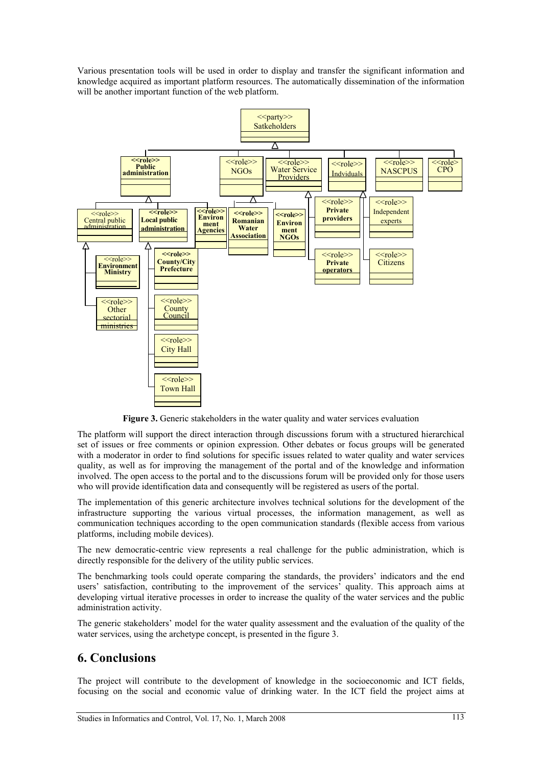Various presentation tools will be used in order to display and transfer the significant information and knowledge acquired as important platform resources. The automatically dissemination of the information will be another important function of the web platform.



**Figure 3.** Generic stakeholders in the water quality and water services evaluation

The platform will support the direct interaction through discussions forum with a structured hierarchical set of issues or free comments or opinion expression. Other debates or focus groups will be generated with a moderator in order to find solutions for specific issues related to water quality and water services quality, as well as for improving the management of the portal and of the knowledge and information involved. The open access to the portal and to the discussions forum will be provided only for those users who will provide identification data and consequently will be registered as users of the portal.

The implementation of this generic architecture involves technical solutions for the development of the infrastructure supporting the various virtual processes, the information management, as well as communication techniques according to the open communication standards (flexible access from various platforms, including mobile devices).

The new democratic-centric view represents a real challenge for the public administration, which is directly responsible for the delivery of the utility public services.

The benchmarking tools could operate comparing the standards, the providers' indicators and the end users' satisfaction, contributing to the improvement of the services' quality. This approach aims at developing virtual iterative processes in order to increase the quality of the water services and the public administration activity.

The generic stakeholders' model for the water quality assessment and the evaluation of the quality of the water services, using the archetype concept, is presented in the figure 3.

#### **6. Conclusions**

The project will contribute to the development of knowledge in the socioeconomic and ICT fields, focusing on the social and economic value of drinking water. In the ICT field the project aims at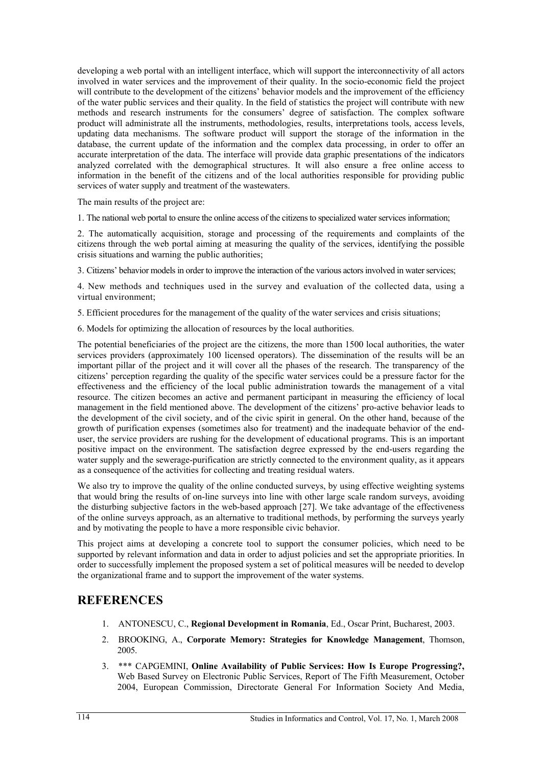developing a web portal with an intelligent interface, which will support the interconnectivity of all actors involved in water services and the improvement of their quality. In the socio-economic field the project will contribute to the development of the citizens' behavior models and the improvement of the efficiency of the water public services and their quality. In the field of statistics the project will contribute with new methods and research instruments for the consumers' degree of satisfaction. The complex software product will administrate all the instruments, methodologies, results, interpretations tools, access levels, updating data mechanisms. The software product will support the storage of the information in the database, the current update of the information and the complex data processing, in order to offer an accurate interpretation of the data. The interface will provide data graphic presentations of the indicators analyzed correlated with the demographical structures. It will also ensure a free online access to information in the benefit of the citizens and of the local authorities responsible for providing public services of water supply and treatment of the wastewaters.

The main results of the project are:

1. The national web portal to ensure the online access of the citizens to specialized water services information;

2. The automatically acquisition, storage and processing of the requirements and complaints of the citizens through the web portal aiming at measuring the quality of the services, identifying the possible crisis situations and warning the public authorities;

3. Citizens' behavior models in order to improve the interaction of the various actors involved in water services;

4. New methods and techniques used in the survey and evaluation of the collected data, using a virtual environment;

5. Efficient procedures for the management of the quality of the water services and crisis situations;

6. Models for optimizing the allocation of resources by the local authorities.

The potential beneficiaries of the project are the citizens, the more than 1500 local authorities, the water services providers (approximately 100 licensed operators). The dissemination of the results will be an important pillar of the project and it will cover all the phases of the research. The transparency of the citizens' perception regarding the quality of the specific water services could be a pressure factor for the effectiveness and the efficiency of the local public administration towards the management of a vital resource. The citizen becomes an active and permanent participant in measuring the efficiency of local management in the field mentioned above. The development of the citizens' pro-active behavior leads to the development of the civil society, and of the civic spirit in general. On the other hand, because of the growth of purification expenses (sometimes also for treatment) and the inadequate behavior of the enduser, the service providers are rushing for the development of educational programs. This is an important positive impact on the environment. The satisfaction degree expressed by the end-users regarding the water supply and the sewerage-purification are strictly connected to the environment quality, as it appears as a consequence of the activities for collecting and treating residual waters.

We also try to improve the quality of the online conducted surveys, by using effective weighting systems that would bring the results of on-line surveys into line with other large scale random surveys, avoiding the disturbing subjective factors in the web-based approach [27]. We take advantage of the effectiveness of the online surveys approach, as an alternative to traditional methods, by performing the surveys yearly and by motivating the people to have a more responsible civic behavior.

This project aims at developing a concrete tool to support the consumer policies, which need to be supported by relevant information and data in order to adjust policies and set the appropriate priorities. In order to successfully implement the proposed system a set of political measures will be needed to develop the organizational frame and to support the improvement of the water systems.

# **REFERENCES**

- 1. ANTONESCU, C., **Regional Development in Romania**, Ed., Oscar Print, Bucharest, 2003.
- 2. BROOKING, A., **Corporate Memory: Strategies for Knowledge Management**, Thomson, 2005.
- 3. \*\*\* CAPGEMINI, **Online Availability of Public Services: How Is Europe Progressing?,** Web Based Survey on Electronic Public Services, Report of The Fifth Measurement, October 2004, European Commission, Directorate General For Information Society And Media,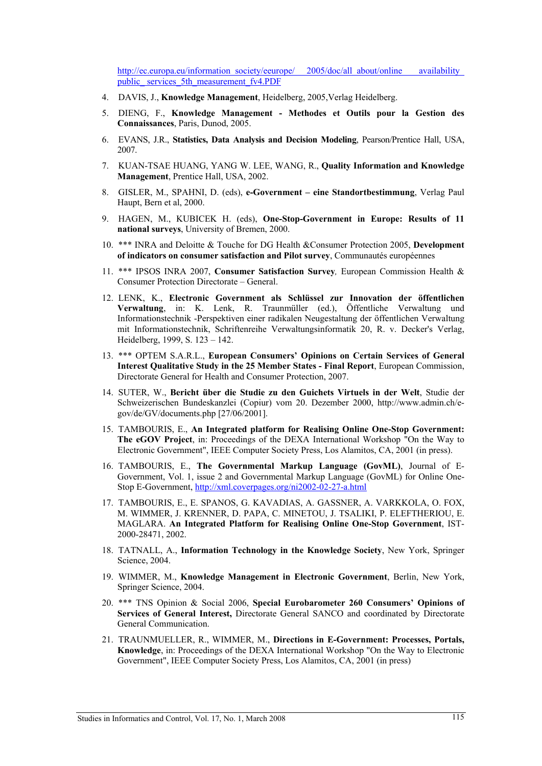http://ec.europa.eu/information\_society/eeurope/ 2005/doc/all\_about/online availability public\_ services\_5th\_measurement\_fv4.PDF

- 4. DAVIS, J., **Knowledge Management**, Heidelberg, 2005,Verlag Heidelberg.
- 5. DIENG, F., **Knowledge Management Methodes et Outils pour la Gestion des Connaissances**, Paris, Dunod, 2005.
- 6. EVANS, J.R., **Statistics, Data Analysis and Decision Modeling**, Pearson/Prentice Hall, USA, 2007.
- 7. KUAN-TSAE HUANG, YANG W. LEE, WANG, R., **Quality Information and Knowledge Management**, Prentice Hall, USA, 2002.
- 8. GISLER, M., SPAHNI, D. (eds), **e-Government eine Standortbestimmung**, Verlag Paul Haupt, Bern et al, 2000.
- 9. HAGEN, M., KUBICEK H. (eds), **One-Stop-Government in Europe: Results of 11 national surveys**, University of Bremen, 2000.
- 10. \*\*\* INRA and Deloitte & Touche for DG Health &Consumer Protection 2005, **Development of indicators on consumer satisfaction and Pilot survey**, Communautés européennes
- 11. \*\*\* IPSOS INRA 2007, **Consumer Satisfaction Survey***,* European Commission Health & Consumer Protection Directorate – General.
- 12. LENK, K., **Electronic Government als Schlüssel zur Innovation der öffentlichen Verwaltung**, in: K. Lenk, R. Traunmüller (ed.), Öffentliche Verwaltung und Informationstechnik -Perspektiven einer radikalen Neugestaltung der öffentlichen Verwaltung mit Informationstechnik, Schriftenreihe Verwaltungsinformatik 20, R. v. Decker's Verlag, Heidelberg, 1999, S. 123 – 142.
- 13. \*\*\* OPTEM S.A.R.L., **European Consumers' Opinions on Certain Services of General Interest Qualitative Study in the 25 Member States - Final Report**, European Commission, Directorate General for Health and Consumer Protection, 2007.
- 14. SUTER, W., **Bericht über die Studie zu den Guichets Virtuels in der Welt**, Studie der Schweizerischen Bundeskanzlei (Copiur) vom 20. Dezember 2000, http://www.admin.ch/egov/de/GV/documents.php [27/06/2001].
- 15. TAMBOURIS, E., **An Integrated platform for Realising Online One-Stop Government: The eGOV Project**, in: Proceedings of the DEXA International Workshop "On the Way to Electronic Government", IEEE Computer Society Press, Los Alamitos, CA, 2001 (in press).
- 16. TAMBOURIS, E., **The Governmental Markup Language (GovML)**, Journal of E-Government, Vol. 1, issue 2 and Governmental Markup Language (GovML) for Online One-Stop E-Government, http://xml.coverpages.org/ni2002-02-27-a.html
- 17. TAMBOURIS, E., E. SPANOS, G. KAVADIAS, A. GASSNER, A. VARKKOLA, O. FOX, M. WIMMER, J. KRENNER, D. PAPA, C. MINETOU, J. TSALIKI, P. ELEFTHERIOU, E. MAGLARA. **An Integrated Platform for Realising Online One-Stop Government**, IST-2000-28471, 2002.
- 18. TATNALL, A., **Information Technology in the Knowledge Society**, New York, Springer Science, 2004.
- 19. WIMMER, M., **Knowledge Management in Electronic Government**, Berlin, New York, Springer Science, 2004.
- 20. \*\*\* TNS Opinion & Social 2006, **Special Eurobarometer 260 Consumers' Opinions of Services of General Interest,** Directorate General SANCO and coordinated by Directorate General Communication.
- 21. TRAUNMUELLER, R., WIMMER, M., **Directions in E-Government: Processes, Portals, Knowledge**, in: Proceedings of the DEXA International Workshop "On the Way to Electronic Government", IEEE Computer Society Press, Los Alamitos, CA, 2001 (in press)